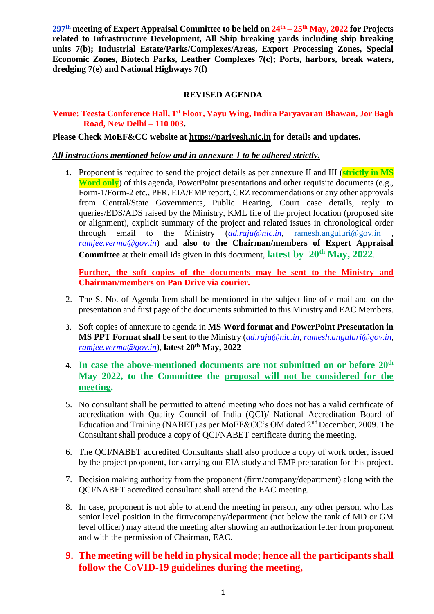**297 th meeting of Expert Appraisal Committee to be held on 24th – 25th May, 2022 for Projects related to Infrastructure Development, All Ship breaking yards including ship breaking units 7(b); Industrial Estate/Parks/Complexes/Areas, Export Processing Zones, Special Economic Zones, Biotech Parks, Leather Complexes 7(c); Ports, harbors, break waters, dredging 7(e) and National Highways 7(f)**

### **REVISED AGENDA**

### **Venue: Teesta Conference Hall, 1st Floor, Vayu Wing, Indira Paryavaran Bhawan, Jor Bagh Road, New Delhi – 110 003.**

#### **Please Check MoEF&CC website at https://parivesh.nic.in for details and updates.**

#### *All instructions mentioned below and in annexure-1 to be adhered strictly.*

1. Proponent is required to send the project details as per annexure II and III (**strictly in MS Word only**) of this agenda, PowerPoint presentations and other requisite documents (e.g., Form-1/Form-2 etc., PFR, EIA/EMP report, CRZ recommendations or any other approvals from Central/State Governments, Public Hearing, Court case details, reply to queries/EDS/ADS raised by the Ministry, KML file of the project location (proposed site or alignment), explicit summary of the project and related issues in chronological order through email to the Ministry  $(ad. raju@nic.in$  ramesh.anguluri@gov.in. through email to the Ministry (*[ad.raju@nic.in](mailto:kodali.rk@gov.in)*, [ramesh.anguluri@gov.in](mailto:ramesh.anguluri@gov.in) *ramjee.verma@gov.in*) and **also to the Chairman/members of Expert Appraisal Committee** at their email ids given in this document, **latest by 20 th May, 2022**.

**Further, the soft copies of the documents may be sent to the Ministry and Chairman/members on Pan Drive via courier.**

- 2. The S. No. of Agenda Item shall be mentioned in the subject line of e-mail and on the presentation and first page of the documents submitted to this Ministry and EAC Members.
- 3. Soft copies of annexure to agenda in **MS Word format and PowerPoint Presentation in MS PPT Format shall** be sent to the Ministry (*[ad.raju@nic.in](mailto:ad.raju@nic.in)*, *ramesh.anguluri@gov.in, [ramjee.verma@gov.in](mailto:ramjee.verma@gov.in)*), **latest 20th May, 2022**
- 4. **In case the above-mentioned documents are not submitted on or before 20th May 2022, to the Committee the proposal will not be considered for the meeting.**
- 5. No consultant shall be permitted to attend meeting who does not has a valid certificate of accreditation with Quality Council of India (QCI)/ National Accreditation Board of Education and Training (NABET) as per MoEF&CC's OM dated 2nd December, 2009. The Consultant shall produce a copy of QCI/NABET certificate during the meeting.
- 6. The QCI/NABET accredited Consultants shall also produce a copy of work order, issued by the project proponent, for carrying out EIA study and EMP preparation for this project.
- 7. Decision making authority from the proponent (firm/company/department) along with the QCI/NABET accredited consultant shall attend the EAC meeting.
- 8. In case, proponent is not able to attend the meeting in person, any other person, who has senior level position in the firm/company/department (not below the rank of MD or GM level officer) may attend the meeting after showing an authorization letter from proponent and with the permission of Chairman, EAC.

# **9. The meeting will be held in physical mode; hence all the participants shall follow the CoVID-19 guidelines during the meeting,**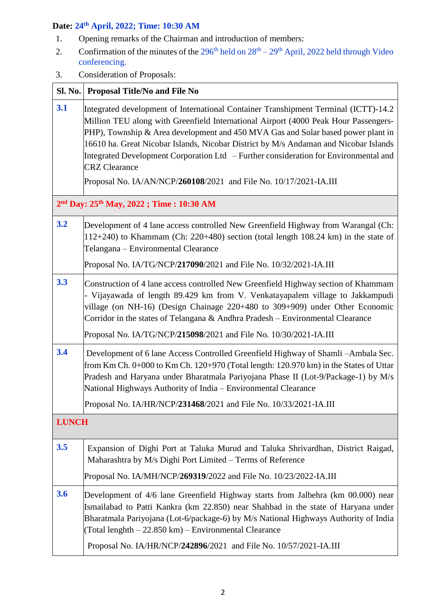## **Date: 24 th April, 2022; Time: 10:30 AM**

- 1. Opening remarks of the Chairman and introduction of members:
- 2. Confirmation of the minutes of the  $296<sup>th</sup>$  held on  $28<sup>th</sup> 29<sup>th</sup>$  April, 2022 held through Video conferencing.
- 3. Consideration of Proposals:

|              | Sl. No.   Proposal Title/No and File No                                                                                                                                                                                                                                                                                                                                                                                                                                                                                                     |
|--------------|---------------------------------------------------------------------------------------------------------------------------------------------------------------------------------------------------------------------------------------------------------------------------------------------------------------------------------------------------------------------------------------------------------------------------------------------------------------------------------------------------------------------------------------------|
| 3.1          | Integrated development of International Container Transhipment Terminal (ICTT)-14.2<br>Million TEU along with Greenfield International Airport (4000 Peak Hour Passengers-<br>PHP), Township & Area development and 450 MVA Gas and Solar based power plant in<br>16610 ha. Great Nicobar Islands, Nicobar District by M/s Andaman and Nicobar Islands<br>Integrated Development Corporation Ltd - Further consideration for Environmental and<br><b>CRZ</b> Clearance<br>Proposal No. IA/AN/NCP/260108/2021 and File No. 10/17/2021-IA.III |
|              | 2 <sup>nd</sup> Day: 25 <sup>th</sup> May, 2022; Time: 10:30 AM                                                                                                                                                                                                                                                                                                                                                                                                                                                                             |
| 3.2          | Development of 4 lane access controlled New Greenfield Highway from Warangal (Ch:<br>$112+240$ ) to Khammam (Ch: 220+480) section (total length 108.24 km) in the state of<br>Telangana – Environmental Clearance<br>Proposal No. IA/TG/NCP/217090/2021 and File No. 10/32/2021-IA.III                                                                                                                                                                                                                                                      |
| 3.3          | Construction of 4 lane access controlled New Greenfield Highway section of Khammam<br>- Vijayawada of length 89.429 km from V. Venkatayapalem village to Jakkampudi<br>village (on NH-16) (Design Chainage 220+480 to 309+909) under Other Economic<br>Corridor in the states of Telangana & Andhra Pradesh – Environmental Clearance<br>Proposal No. IA/TG/NCP/215098/2021 and File No. 10/30/2021-IA.III                                                                                                                                  |
| 3.4          | Development of 6 lane Access Controlled Greenfield Highway of Shamli -Ambala Sec.<br>from Km Ch. $0+000$ to Km Ch. 120+970 (Total length: 120.970 km) in the States of Uttar<br>Pradesh and Haryana under Bharatmala Pariyojana Phase II (Lot-9/Package-1) by M/s<br>National Highways Authority of India - Environmental Clearance<br>Proposal No. IA/HR/NCP/231468/2021 and File No. 10/33/2021-IA.III                                                                                                                                    |
| <b>LUNCH</b> |                                                                                                                                                                                                                                                                                                                                                                                                                                                                                                                                             |
| 3.5          | Expansion of Dighi Port at Taluka Murud and Taluka Shrivardhan, District Raigad,<br>Maharashtra by M/s Dighi Port Limited - Terms of Reference<br>Proposal No. IA/MH/NCP/269319/2022 and File No. 10/23/2022-IA.III                                                                                                                                                                                                                                                                                                                         |
| 3.6          | Development of 4/6 lane Greenfield Highway starts from Jalbehra (km 00.000) near<br>Ismailabad to Patti Kankra (km 22.850) near Shahbad in the state of Haryana under<br>Bharatmala Pariyojana (Lot-6/package-6) by M/s National Highways Authority of India<br>(Total lenghth - 22.850 km) - Environmental Clearance<br>Proposal No. IA/HR/NCP/242896/2021 and File No. 10/57/2021-IA.III                                                                                                                                                  |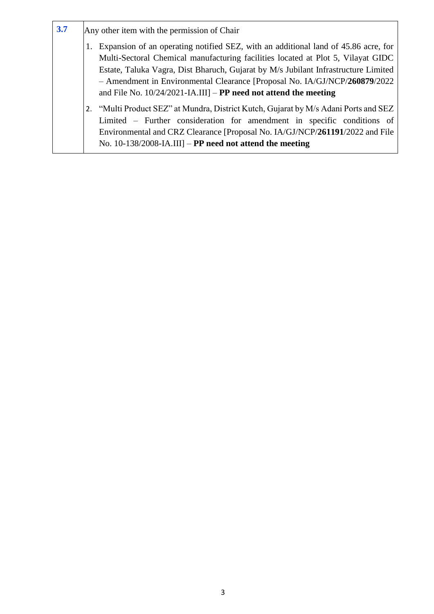| 3.7 | Any other item with the permission of Chair                                                                                                                                                                                                                                                                                                                                                                              |
|-----|--------------------------------------------------------------------------------------------------------------------------------------------------------------------------------------------------------------------------------------------------------------------------------------------------------------------------------------------------------------------------------------------------------------------------|
|     | Expansion of an operating notified SEZ, with an additional land of 45.86 acre, for<br>1.<br>Multi-Sectoral Chemical manufacturing facilities located at Plot 5, Vilayat GIDC<br>Estate, Taluka Vagra, Dist Bharuch, Gujarat by M/s Jubilant Infrastructure Limited<br>- Amendment in Environmental Clearance [Proposal No. IA/GJ/NCP/260879/2022]<br>and File No. $10/24/2021$ -IA.III] – PP need not attend the meeting |
|     | 2. "Multi Product SEZ" at Mundra, District Kutch, Gujarat by M/s Adani Ports and SEZ<br>Limited – Further consideration for amendment in specific conditions of<br>Environmental and CRZ Clearance [Proposal No. IA/GJ/NCP/261191/2022 and File<br>No. 10-138/2008-IA.III] – <b>PP</b> need not attend the meeting                                                                                                       |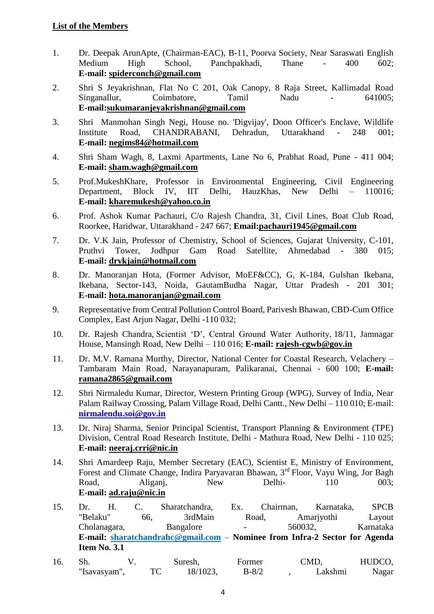- 1. Dr. Deepak ArunApte, (Chairman-EAC), B-11, Poorva Society, Near Saraswati English Medium High School, Panchpakhadi, Thane - 400 602; **E-mail: spiderconch@gmail.com**
- 2. Shri S Jeyakrishnan, Flat No C 201, Oak Canopy, 8 Raja Street, Kallimadal Road Singanallur, Coimbatore, Tamil Nadu - 641005; **E-mail:sukumaranjeyakrishnan@gmail.com**
- 3. Shri Manmohan Singh Negi, House no. 'Digvijay', Doon Officer's Enclave, Wildlife Institute Road, CHANDRABANI, Dehradun, Uttarakhand - 248 001; **E-mail: negims84@hotmail.com**
- 4. Shri Sham Wagh, 8, Laxmi Apartments, Lane No 6, Prabhat Road, Pune 411 004; **E-mail: sham.wagh@gmail.com**
- 5. Prof.MukeshKhare, Professor in Environmental Engineering, Civil Engineering Department, Block IV, IIT Delhi, HauzKhas, New Delhi – 110016; **E-mail: kharemukesh@yahoo.co.in**
- 6. Prof. Ashok Kumar Pachauri, C/o Rajesh Chandra, 31, Civil Lines, Boat Club Road, Roorkee, Haridwar, Uttarakhand - 247 667; **Email:pachauri1945@gmail.com**
- 7. Dr. V.K Jain, Professor of Chemistry, School of Sciences, Gujarat University, C-101, Pruthvi Tower, Jodhpur Gam Road Satellite, Ahmedabad - 380 015; **E-mail: [drvkjain@hotmail.com](mailto:drvkjain@hotmail.com)**
- 8. Dr. Manoranjan Hota, (Former Advisor, MoEF&CC), G, K-184, Gulshan Ikebana, Ikebana, Sector-143, Noida, GautamBudha Nagar, Uttar Pradesh - 201 301; **E-mail: hota.manoranjan@gmail.com**
- 9. Representative from Central Pollution Control Board, Parivesh Bhawan, CBD-Cum Office Complex, East Arjun Nagar, Delhi -110 032;
- 10. Dr. Rajesh Chandra, Scientist 'D', Central Ground Water Authority, 18/11, Jamnagar House, Mansingh Road, New Delhi – 110 016; **E-mail: [rajesh-cgwb@gov.in](mailto:rajesh-cgwb@gov.in)**
- 11. Dr. M.V. Ramana Murthy, Director, National Center for Coastal Research, Velachery Tambaram Main Road, Narayanapuram, Palikaranai, Chennai - 600 100; **E-mail: [ramana2865@gmail.com](mailto:ramana2865@gmail.com)**
- 12. Shri Nirmaledu Kumar, Director, Western Printing Group (WPG), Survey of India, Near Palam Railway Crossing, Palam Village Road, Delhi Cantt., New Delhi – 110 010; E-mail: **[nirmalendu.soi@gov.in](mailto:nirmalendu.soi@gov.in)**
- 13. Dr. Niraj Sharma, Senior Principal Scientist, Transport Planning & Environment (TPE) Division, Central Road Research Institute, Delhi - Mathura Road, New Delhi - 110 025; **E-mail: neeraj.crri@nic.in**
- 14. Shri Amardeep Raju, Member Secretary (EAC), Scientist E, Ministry of Environment, Forest and Climate Change, Indira Paryavaran Bhawan, 3rd Floor, Vayu Wing, Jor Bagh Road, Aliganj, New Delhi- 110 003; **E-mail: [ad.raju@nic.in](mailto:kodali.rk@gov.in)**
- 15. Dr. H. C. Sharatchandra, Ex. Chairman, Karnataka, SPCB "Belaku" 66, 3rdMain Road, Amarjyothi Layout Cholanagara, Bangalore - 560032, Karnataka **E-mail: [sharatchandrahc@gmail.com](mailto:sharatchandrahc@gmail.com)** – **Nominee from Infra-2 Sector for Agenda Item No. 3.1**
- 16. Sh. V. Suresh, Former CMD, HUDCO, "Isavasyam", TC 18/1023, B-8/2 , Lakshmi Nagar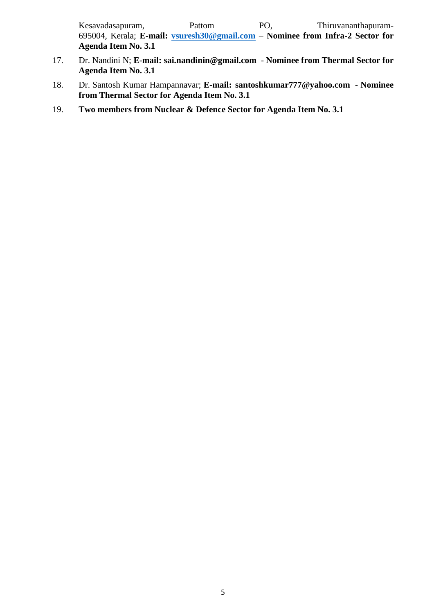Kesavadasapuram, Pattom PO, Thiruvananthapuram-695004, Kerala; **E-mail: [vsuresh30@gmail.com](mailto:vsuresh30@gmail.com)** – **Nominee from Infra-2 Sector for Agenda Item No. 3.1**

- 17. Dr. Nandini N; **E-mail: [sai.nandinin@gmail.com](mailto:sai.nandinin@gmail.com) Nominee from Thermal Sector for Agenda Item No. 3.1**
- 18. Dr. Santosh Kumar Hampannavar; **E-mail: santoshkumar777@yahoo.com Nominee from Thermal Sector for Agenda Item No. 3.1**
- 19. **Two members from Nuclear & Defence Sector for Agenda Item No. 3.1**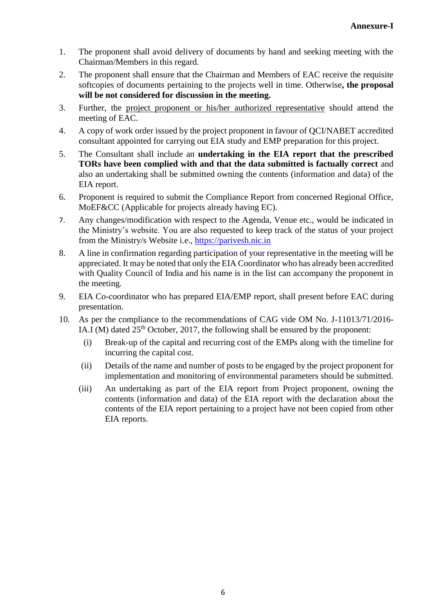- 1. The proponent shall avoid delivery of documents by hand and seeking meeting with the Chairman/Members in this regard.
- 2. The proponent shall ensure that the Chairman and Members of EAC receive the requisite softcopies of documents pertaining to the projects well in time. Otherwise**, the proposal will be not considered for discussion in the meeting.**
- 3. Further, the project proponent or his/her authorized representative should attend the meeting of EAC.
- 4. A copy of work order issued by the project proponent in favour of QCI/NABET accredited consultant appointed for carrying out EIA study and EMP preparation for this project.
- 5. The Consultant shall include an **undertaking in the EIA report that the prescribed TORs have been complied with and that the data submitted is factually correct** and also an undertaking shall be submitted owning the contents (information and data) of the EIA report.
- 6. Proponent is required to submit the Compliance Report from concerned Regional Office, MoEF&CC (Applicable for projects already having EC).
- 7. Any changes/modification with respect to the Agenda, Venue etc., would be indicated in the Ministry's website. You are also requested to keep track of the status of your project from the Ministry/s Website i.e., [https://parivesh.nic.in](https://parivesh.nic.in/)
- 8. A line in confirmation regarding participation of your representative in the meeting will be appreciated. It may be noted that only the EIA Coordinator who has already been accredited with Quality Council of India and his name is in the list can accompany the proponent in the meeting.
- 9. EIA Co-coordinator who has prepared EIA/EMP report, shall present before EAC during presentation.
- 10. As per the compliance to the recommendations of CAG vide OM No. J-11013/71/2016- IA.I (M) dated  $25<sup>th</sup>$  October, 2017, the following shall be ensured by the proponent:
	- (i) Break-up of the capital and recurring cost of the EMPs along with the timeline for incurring the capital cost.
	- (ii) Details of the name and number of posts to be engaged by the project proponent for implementation and monitoring of environmental parameters should be submitted.
	- (iii) An undertaking as part of the EIA report from Project proponent, owning the contents (information and data) of the EIA report with the declaration about the contents of the EIA report pertaining to a project have not been copied from other EIA reports.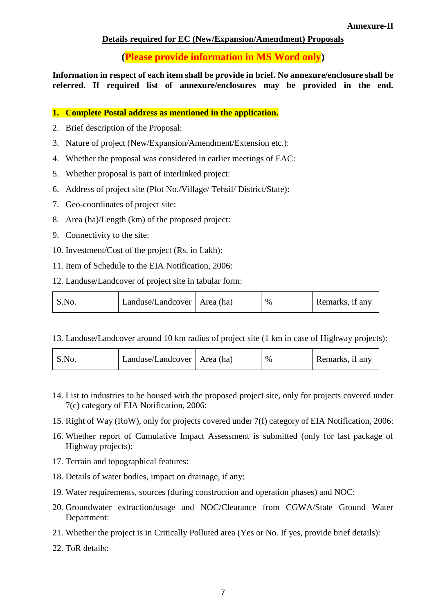## **Details required for EC (New/Expansion/Amendment) Proposals**

**(Please provide information in MS Word only)**

**Information in respect of each item shall be provide in brief. No annexure/enclosure shall be referred. If required list of annexure/enclosures may be provided in the end.**

**1. Complete Postal address as mentioned in the application.**

- 2. Brief description of the Proposal:
- 3. Nature of project (New/Expansion/Amendment/Extension etc.):
- 4. Whether the proposal was considered in earlier meetings of EAC:
- 5. Whether proposal is part of interlinked project:
- 6. Address of project site (Plot No./Village/ Tehsil/ District/State):
- 7. Geo-coordinates of project site:
- 8. Area (ha)/Length (km) of the proposed project:
- 9. Connectivity to the site:
- 10. Investment/Cost of the project (Rs. in Lakh):
- 11. Item of Schedule to the EIA Notification, 2006:
- 12. Landuse/Landcover of project site in tabular form:

| S.No. | Landuse/Landcover   Area (ha) |  | $\%$ | Remarks, if any |
|-------|-------------------------------|--|------|-----------------|
|-------|-------------------------------|--|------|-----------------|

13. Landuse/Landcover around 10 km radius of project site (1 km in case of Highway projects):

| Landuse/Landcover   Area (ha)<br>S.No. |  | $\%$ | Remarks, if any |
|----------------------------------------|--|------|-----------------|
|----------------------------------------|--|------|-----------------|

- 14. List to industries to be housed with the proposed project site, only for projects covered under 7(c) category of EIA Notification, 2006:
- 15. Right of Way (RoW), only for projects covered under 7(f) category of EIA Notification, 2006:
- 16. Whether report of Cumulative Impact Assessment is submitted (only for last package of Highway projects):
- 17. Terrain and topographical features:
- 18. Details of water bodies, impact on drainage, if any:
- 19. Water requirements, sources (during construction and operation phases) and NOC:
- 20. Groundwater extraction/usage and NOC/Clearance from CGWA/State Ground Water Department:
- 21. Whether the project is in Critically Polluted area (Yes or No. If yes, provide brief details):
- 22. ToR details: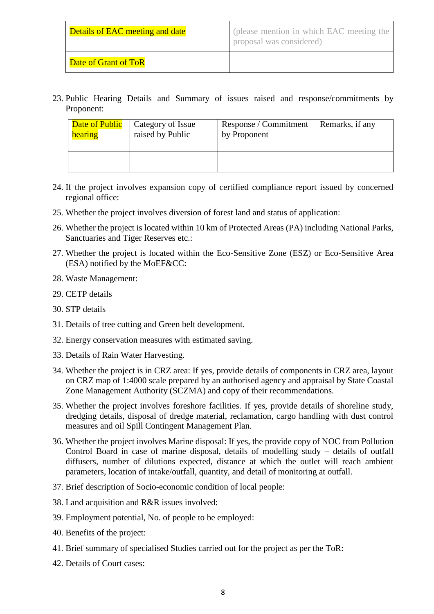| <b>Details of EAC meeting and date</b> | (please mention in which EAC meeting the<br>proposal was considered) |
|----------------------------------------|----------------------------------------------------------------------|
| <b>Date of Grant of ToR</b>            |                                                                      |

23. Public Hearing Details and Summary of issues raised and response/commitments by Proponent:

| <b>Date of Public</b> | Category of Issue | Response / Commitment | Remarks, if any |  |
|-----------------------|-------------------|-----------------------|-----------------|--|
| hearing               | raised by Public  | by Proponent          |                 |  |
|                       |                   |                       |                 |  |

- 24. If the project involves expansion copy of certified compliance report issued by concerned regional office:
- 25. Whether the project involves diversion of forest land and status of application:
- 26. Whether the project is located within 10 km of Protected Areas (PA) including National Parks, Sanctuaries and Tiger Reserves etc.:
- 27. Whether the project is located within the Eco-Sensitive Zone (ESZ) or Eco-Sensitive Area (ESA) notified by the MoEF&CC:
- 28. Waste Management:
- 29. CETP details
- 30. STP details
- 31. Details of tree cutting and Green belt development.
- 32. Energy conservation measures with estimated saving.
- 33. Details of Rain Water Harvesting.
- 34. Whether the project is in CRZ area: If yes, provide details of components in CRZ area, layout on CRZ map of 1:4000 scale prepared by an authorised agency and appraisal by State Coastal Zone Management Authority (SCZMA) and copy of their recommendations.
- 35. Whether the project involves foreshore facilities. If yes, provide details of shoreline study, dredging details, disposal of dredge material, reclamation, cargo handling with dust control measures and oil Spill Contingent Management Plan.
- 36. Whether the project involves Marine disposal: If yes, the provide copy of NOC from Pollution Control Board in case of marine disposal, details of modelling study – details of outfall diffusers, number of dilutions expected, distance at which the outlet will reach ambient parameters, location of intake/outfall, quantity, and detail of monitoring at outfall.
- 37. Brief description of Socio-economic condition of local people:
- 38. Land acquisition and R&R issues involved:
- 39. Employment potential, No. of people to be employed:
- 40. Benefits of the project:
- 41. Brief summary of specialised Studies carried out for the project as per the ToR:
- 42. Details of Court cases: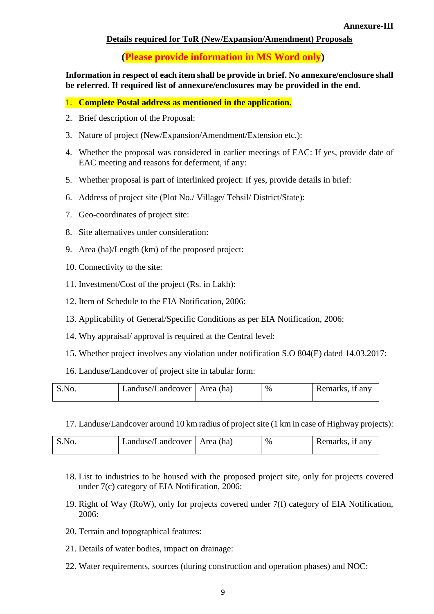## **Details required for ToR (New/Expansion/Amendment) Proposals**

# **(Please provide information in MS Word only)**

**Information in respect of each item shall be provide in brief. No annexure/enclosure shall be referred. If required list of annexure/enclosures may be provided in the end.**

- 1. **Complete Postal address as mentioned in the application.**
- 2. Brief description of the Proposal:
- 3. Nature of project (New/Expansion/Amendment/Extension etc.):
- 4. Whether the proposal was considered in earlier meetings of EAC: If yes, provide date of EAC meeting and reasons for deferment, if any:
- 5. Whether proposal is part of interlinked project: If yes, provide details in brief:
- 6. Address of project site (Plot No./ Village/ Tehsil/ District/State):
- 7. Geo-coordinates of project site:
- 8. Site alternatives under consideration:
- 9. Area (ha)/Length (km) of the proposed project:
- 10. Connectivity to the site:
- 11. Investment/Cost of the project (Rs. in Lakh):
- 12. Item of Schedule to the EIA Notification, 2006:
- 13. Applicability of General/Specific Conditions as per EIA Notification, 2006:
- 14. Why appraisal/ approval is required at the Central level:
- 15. Whether project involves any violation under notification S.O 804(E) dated 14.03.2017:
- 16. Landuse/Landcover of project site in tabular form:

| S.No. | Landuse/Landcover   Area (ha) | $\%$ | Remarks, if any |
|-------|-------------------------------|------|-----------------|
|       |                               |      |                 |

17. Landuse/Landcover around 10 km radius of project site (1 km in case of Highway projects):

| S.No<br>Landuse/Landcover   Area (ha) |  | % | Remarks, if any |
|---------------------------------------|--|---|-----------------|
|---------------------------------------|--|---|-----------------|

- 18. List to industries to be housed with the proposed project site, only for projects covered under 7(c) category of EIA Notification, 2006:
- 19. Right of Way (RoW), only for projects covered under 7(f) category of EIA Notification, 2006:
- 20. Terrain and topographical features:
- 21. Details of water bodies, impact on drainage:
- 22. Water requirements, sources (during construction and operation phases) and NOC: